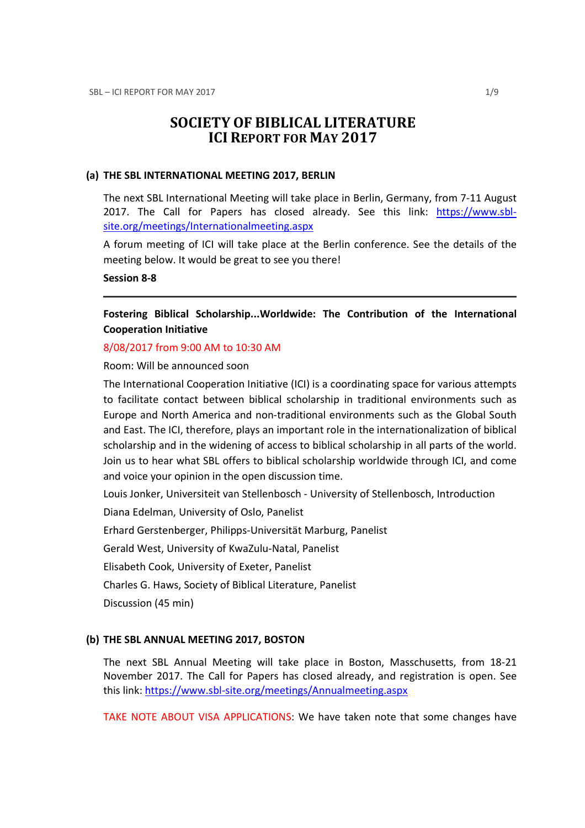# SOCIETY OF BIBLICAL LITERATURE ICI REPORT FOR MAY 2017

#### (a) THE SBL INTERNATIONAL MEETING 2017, BERLIN

The next SBL International Meeting will take place in Berlin, Germany, from 7-11 August 2017. The Call for Papers has closed already. See this link: https://www.sblsite.org/meetings/Internationalmeeting.aspx

A forum meeting of ICI will take place at the Berlin conference. See the details of the meeting below. It would be great to see you there!

### Session 8-8

Fostering Biblical Scholarship...Worldwide: The Contribution of the International Cooperation Initiative

#### 8/08/2017 from 9:00 AM to 10:30 AM

Room: Will be announced soon

The International Cooperation Initiative (ICI) is a coordinating space for various attempts to facilitate contact between biblical scholarship in traditional environments such as Europe and North America and non-traditional environments such as the Global South and East. The ICI, therefore, plays an important role in the internationalization of biblical scholarship and in the widening of access to biblical scholarship in all parts of the world. Join us to hear what SBL offers to biblical scholarship worldwide through ICI, and come and voice your opinion in the open discussion time.

Louis Jonker, Universiteit van Stellenbosch - University of Stellenbosch, Introduction

Diana Edelman, University of Oslo, Panelist

Erhard Gerstenberger, Philipps-Universität Marburg, Panelist

Gerald West, University of KwaZulu-Natal, Panelist

Elisabeth Cook, University of Exeter, Panelist

Charles G. Haws, Society of Biblical Literature, Panelist

Discussion (45 min)

### (b) THE SBL ANNUAL MEETING 2017, BOSTON

The next SBL Annual Meeting will take place in Boston, Masschusetts, from 18-21 November 2017. The Call for Papers has closed already, and registration is open. See this link: https://www.sbl-site.org/meetings/Annualmeeting.aspx

TAKE NOTE ABOUT VISA APPLICATIONS: We have taken note that some changes have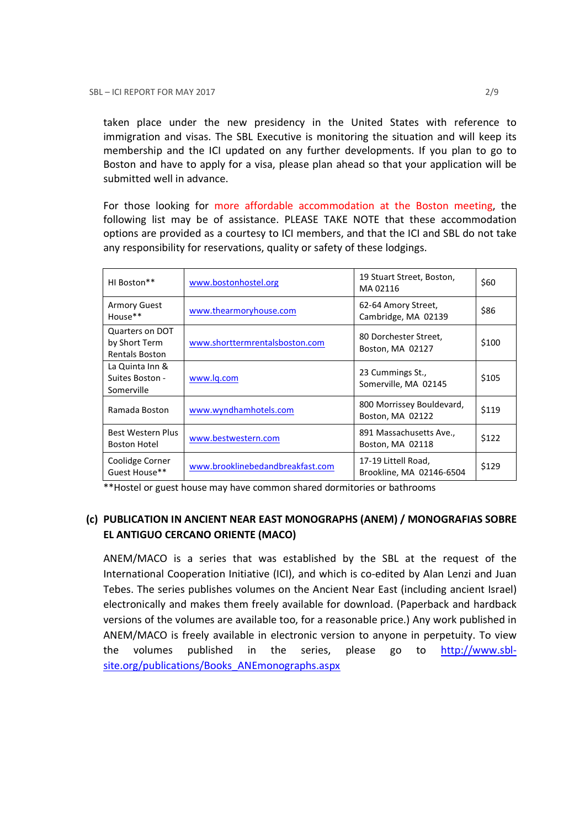taken place under the new presidency in the United States with reference to immigration and visas. The SBL Executive is monitoring the situation and will keep its membership and the ICI updated on any further developments. If you plan to go to Boston and have to apply for a visa, please plan ahead so that your application will be submitted well in advance.

For those looking for more affordable accommodation at the Boston meeting, the following list may be of assistance. PLEASE TAKE NOTE that these accommodation options are provided as a courtesy to ICI members, and that the ICI and SBL do not take any responsibility for reservations, quality or safety of these lodgings.

| HI Boston**                                               | www.bostonhostel.org             | 19 Stuart Street, Boston,<br>MA02116            | \$60  |
|-----------------------------------------------------------|----------------------------------|-------------------------------------------------|-------|
| <b>Armory Guest</b><br>House**                            | www.thearmoryhouse.com           | 62-64 Amory Street,<br>Cambridge, MA 02139      | \$86  |
| Quarters on DOT<br>by Short Term<br><b>Rentals Boston</b> | www.shorttermrentalsboston.com   | 80 Dorchester Street,<br>Boston, MA 02127       | \$100 |
| La Quinta Inn &<br>Suites Boston -<br>Somerville          | www.lg.com                       | 23 Cummings St.,<br>Somerville, MA 02145        | \$105 |
| Ramada Boston                                             | www.wyndhamhotels.com            | 800 Morrissey Bouldevard,<br>Boston, MA 02122   | \$119 |
| Best Western Plus<br><b>Boston Hotel</b>                  | www.bestwestern.com              | 891 Massachusetts Ave.,<br>Boston, MA 02118     | \$122 |
| Coolidge Corner<br>Guest House**                          | www.brooklinebedandbreakfast.com | 17-19 Littell Road,<br>Brookline, MA 02146-6504 | \$129 |

\*\*Hostel or guest house may have common shared dormitories or bathrooms

## (c) PUBLICATION IN ANCIENT NEAR EAST MONOGRAPHS (ANEM) / MONOGRAFIAS SOBRE EL ANTIGUO CERCANO ORIENTE (MACO)

ANEM/MACO is a series that was established by the SBL at the request of the International Cooperation Initiative (ICI), and which is co-edited by Alan Lenzi and Juan Tebes. The series publishes volumes on the Ancient Near East (including ancient Israel) electronically and makes them freely available for download. (Paperback and hardback versions of the volumes are available too, for a reasonable price.) Any work published in ANEM/MACO is freely available in electronic version to anyone in perpetuity. To view the volumes published in the series, please go to http://www.sblsite.org/publications/Books\_ANEmonographs.aspx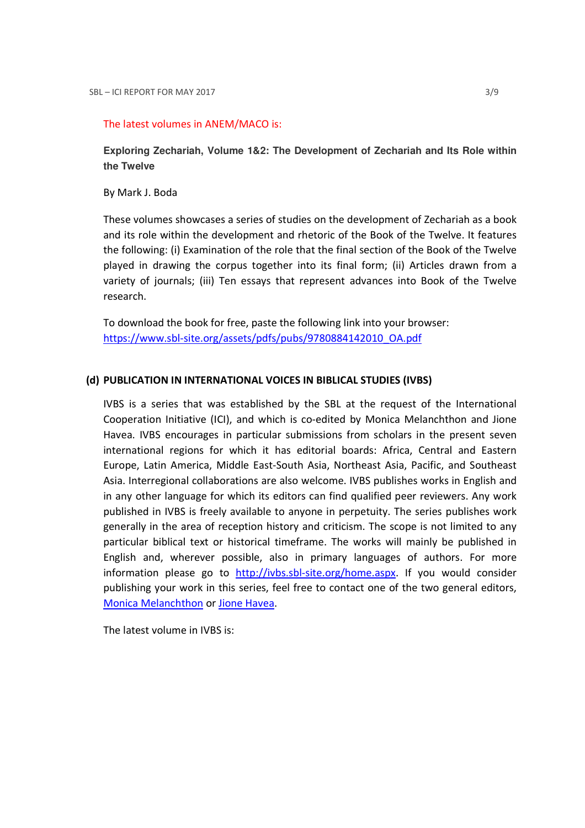#### The latest volumes in ANEM/MACO is:

**Exploring Zechariah, Volume 1&2: The Development of Zechariah and Its Role within the Twelve** 

By Mark J. Boda

These volumes showcases a series of studies on the development of Zechariah as a book and its role within the development and rhetoric of the Book of the Twelve. It features the following: (i) Examination of the role that the final section of the Book of the Twelve played in drawing the corpus together into its final form; (ii) Articles drawn from a variety of journals; (iii) Ten essays that represent advances into Book of the Twelve research.

To download the book for free, paste the following link into your browser: https://www.sbl-site.org/assets/pdfs/pubs/9780884142010\_OA.pdf

### (d) PUBLICATION IN INTERNATIONAL VOICES IN BIBLICAL STUDIES (IVBS)

IVBS is a series that was established by the SBL at the request of the International Cooperation Initiative (ICI), and which is co-edited by Monica Melanchthon and Jione Havea. IVBS encourages in particular submissions from scholars in the present seven international regions for which it has editorial boards: Africa, Central and Eastern Europe, Latin America, Middle East-South Asia, Northeast Asia, Pacific, and Southeast Asia. Interregional collaborations are also welcome. IVBS publishes works in English and in any other language for which its editors can find qualified peer reviewers. Any work published in IVBS is freely available to anyone in perpetuity. The series publishes work generally in the area of reception history and criticism. The scope is not limited to any particular biblical text or historical timeframe. The works will mainly be published in English and, wherever possible, also in primary languages of authors. For more information please go to http://ivbs.sbl-site.org/home.aspx. If you would consider publishing your work in this series, feel free to contact one of the two general editors, Monica Melanchthon or Jione Havea.

The latest volume in IVBS is: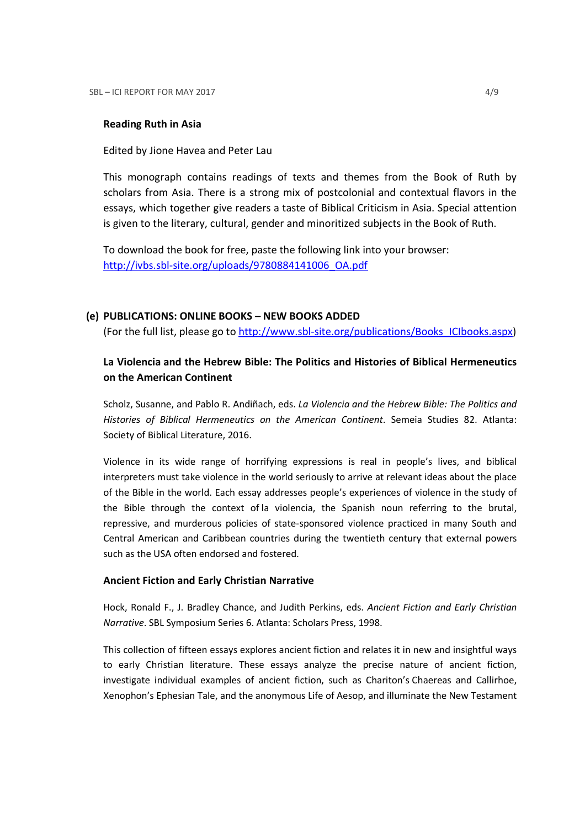### Reading Ruth in Asia

Edited by Jione Havea and Peter Lau

This monograph contains readings of texts and themes from the Book of Ruth by scholars from Asia. There is a strong mix of postcolonial and contextual flavors in the essays, which together give readers a taste of Biblical Criticism in Asia. Special attention is given to the literary, cultural, gender and minoritized subjects in the Book of Ruth.

To download the book for free, paste the following link into your browser: http://ivbs.sbl-site.org/uploads/9780884141006\_OA.pdf

### (e) PUBLICATIONS: ONLINE BOOKS – NEW BOOKS ADDED

(For the full list, please go to http://www.sbl-site.org/publications/Books\_ICIbooks.aspx)

## La Violencia and the Hebrew Bible: The Politics and Histories of Biblical Hermeneutics on the American Continent

Scholz, Susanne, and Pablo R. Andiñach, eds. La Violencia and the Hebrew Bible: The Politics and Histories of Biblical Hermeneutics on the American Continent. Semeia Studies 82. Atlanta: Society of Biblical Literature, 2016.

Violence in its wide range of horrifying expressions is real in people's lives, and biblical interpreters must take violence in the world seriously to arrive at relevant ideas about the place of the Bible in the world. Each essay addresses people's experiences of violence in the study of the Bible through the context of la violencia, the Spanish noun referring to the brutal, repressive, and murderous policies of state-sponsored violence practiced in many South and Central American and Caribbean countries during the twentieth century that external powers such as the USA often endorsed and fostered.

### Ancient Fiction and Early Christian Narrative

Hock, Ronald F., J. Bradley Chance, and Judith Perkins, eds. Ancient Fiction and Early Christian Narrative. SBL Symposium Series 6. Atlanta: Scholars Press, 1998.

This collection of fifteen essays explores ancient fiction and relates it in new and insightful ways to early Christian literature. These essays analyze the precise nature of ancient fiction, investigate individual examples of ancient fiction, such as Chariton's Chaereas and Callirhoe, Xenophon's Ephesian Tale, and the anonymous Life of Aesop, and illuminate the New Testament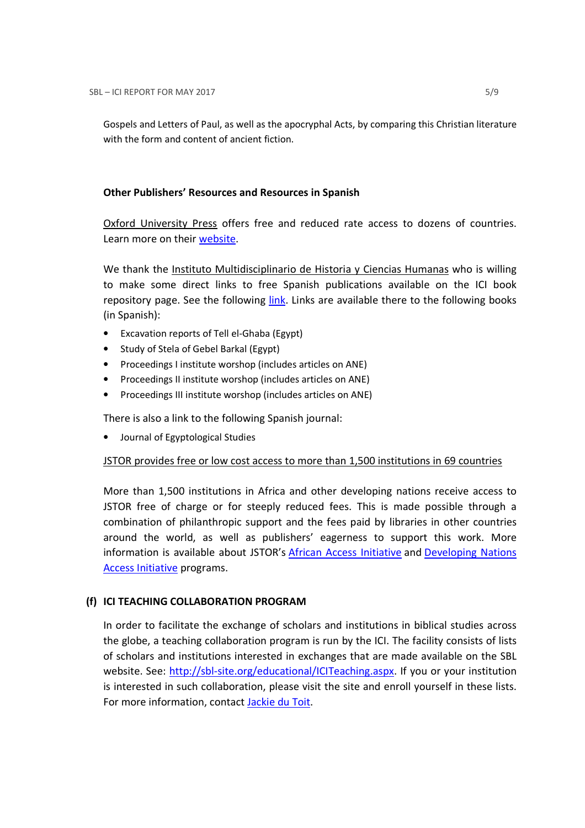Gospels and Letters of Paul, as well as the apocryphal Acts, by comparing this Christian literature with the form and content of ancient fiction.

### Other Publishers' Resources and Resources in Spanish

Oxford University Press offers free and reduced rate access to dozens of countries. Learn more on their website.

We thank the Instituto Multidisciplinario de Historia y Ciencias Humanas who is willing to make some direct links to free Spanish publications available on the ICI book repository page. See the following link. Links are available there to the following books (in Spanish):

- Excavation reports of Tell el-Ghaba (Egypt)
- Study of Stela of Gebel Barkal (Egypt)
- Proceedings I institute worshop (includes articles on ANE)
- Proceedings II institute worshop (includes articles on ANE)
- Proceedings III institute worshop (includes articles on ANE)

There is also a link to the following Spanish journal:

• Journal of Egyptological Studies

### JSTOR provides free or low cost access to more than 1,500 institutions in 69 countries

More than 1,500 institutions in Africa and other developing nations receive access to JSTOR free of charge or for steeply reduced fees. This is made possible through a combination of philanthropic support and the fees paid by libraries in other countries around the world, as well as publishers' eagerness to support this work. More information is available about JSTOR's African Access Initiative and Developing Nations Access Initiative programs.

### (f) ICI TEACHING COLLABORATION PROGRAM

In order to facilitate the exchange of scholars and institutions in biblical studies across the globe, a teaching collaboration program is run by the ICI. The facility consists of lists of scholars and institutions interested in exchanges that are made available on the SBL website. See: http://sbl-site.org/educational/ICITeaching.aspx. If you or your institution is interested in such collaboration, please visit the site and enroll yourself in these lists. For more information, contact Jackie du Toit.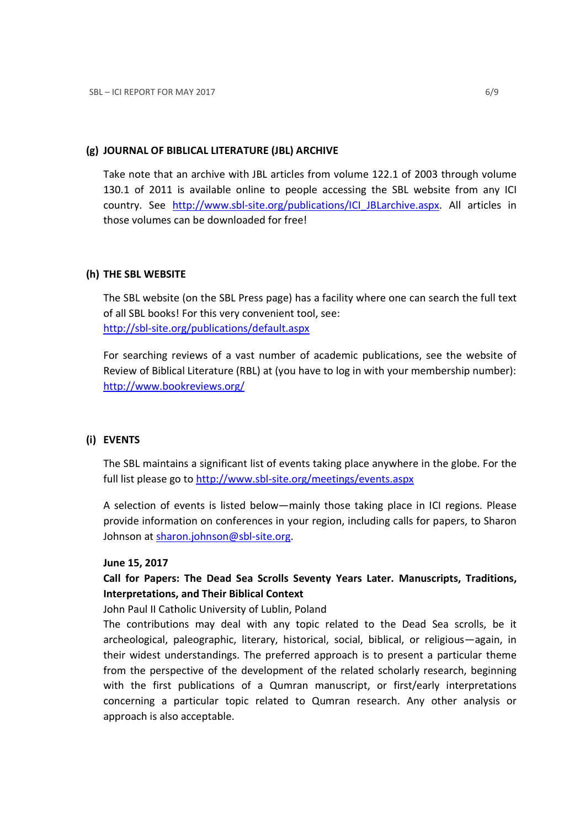### (g) JOURNAL OF BIBLICAL LITERATURE (JBL) ARCHIVE

Take note that an archive with JBL articles from volume 122.1 of 2003 through volume 130.1 of 2011 is available online to people accessing the SBL website from any ICI country. See http://www.sbl-site.org/publications/ICI\_JBLarchive.aspx. All articles in those volumes can be downloaded for free!

### (h) THE SBL WEBSITE

The SBL website (on the SBL Press page) has a facility where one can search the full text of all SBL books! For this very convenient tool, see: http://sbl-site.org/publications/default.aspx

For searching reviews of a vast number of academic publications, see the website of Review of Biblical Literature (RBL) at (you have to log in with your membership number): http://www.bookreviews.org/

### (i) EVENTS

The SBL maintains a significant list of events taking place anywhere in the globe. For the full list please go to http://www.sbl-site.org/meetings/events.aspx

A selection of events is listed below—mainly those taking place in ICI regions. Please provide information on conferences in your region, including calls for papers, to Sharon Johnson at sharon.johnson@sbl-site.org.

### June 15, 2017

## Call for Papers: The Dead Sea Scrolls Seventy Years Later. Manuscripts, Traditions, Interpretations, and Their Biblical Context

John Paul II Catholic University of Lublin, Poland

The contributions may deal with any topic related to the Dead Sea scrolls, be it archeological, paleographic, literary, historical, social, biblical, or religious—again, in their widest understandings. The preferred approach is to present a particular theme from the perspective of the development of the related scholarly research, beginning with the first publications of a Qumran manuscript, or first/early interpretations concerning a particular topic related to Qumran research. Any other analysis or approach is also acceptable.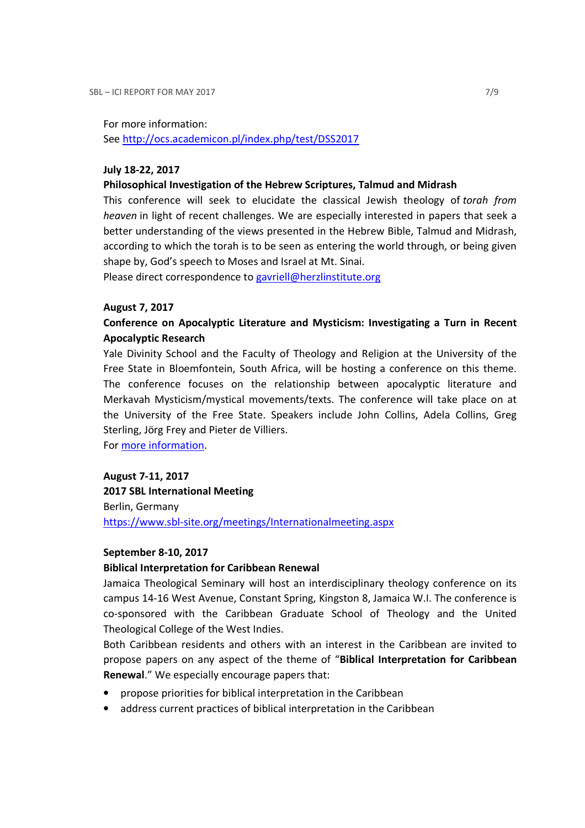For more information:

See http://ocs.academicon.pl/index.php/test/DSS2017

### July 18-22, 2017

#### Philosophical Investigation of the Hebrew Scriptures, Talmud and Midrash

This conference will seek to elucidate the classical Jewish theology of torah from heaven in light of recent challenges. We are especially interested in papers that seek a better understanding of the views presented in the Hebrew Bible, Talmud and Midrash, according to which the torah is to be seen as entering the world through, or being given shape by, God's speech to Moses and Israel at Mt. Sinai.

Please direct correspondence to gavriell@herzlinstitute.org

### August 7, 2017

## Conference on Apocalyptic Literature and Mysticism: Investigating a Turn in Recent Apocalyptic Research

Yale Divinity School and the Faculty of Theology and Religion at the University of the Free State in Bloemfontein, South Africa, will be hosting a conference on this theme. The conference focuses on the relationship between apocalyptic literature and Merkavah Mysticism/mystical movements/texts. The conference will take place on at the University of the Free State. Speakers include John Collins, Adela Collins, Greg Sterling, Jörg Frey and Pieter de Villiers.

For more information.

### August 7-11, 2017

2017 SBL International Meeting Berlin, Germany https://www.sbl-site.org/meetings/Internationalmeeting.aspx

### September 8-10, 2017

### Biblical Interpretation for Caribbean Renewal

Jamaica Theological Seminary will host an interdisciplinary theology conference on its campus 14-16 West Avenue, Constant Spring, Kingston 8, Jamaica W.I. The conference is co-sponsored with the Caribbean Graduate School of Theology and the United Theological College of the West Indies.

Both Caribbean residents and others with an interest in the Caribbean are invited to propose papers on any aspect of the theme of "Biblical Interpretation for Caribbean Renewal." We especially encourage papers that:

- propose priorities for biblical interpretation in the Caribbean
- address current practices of biblical interpretation in the Caribbean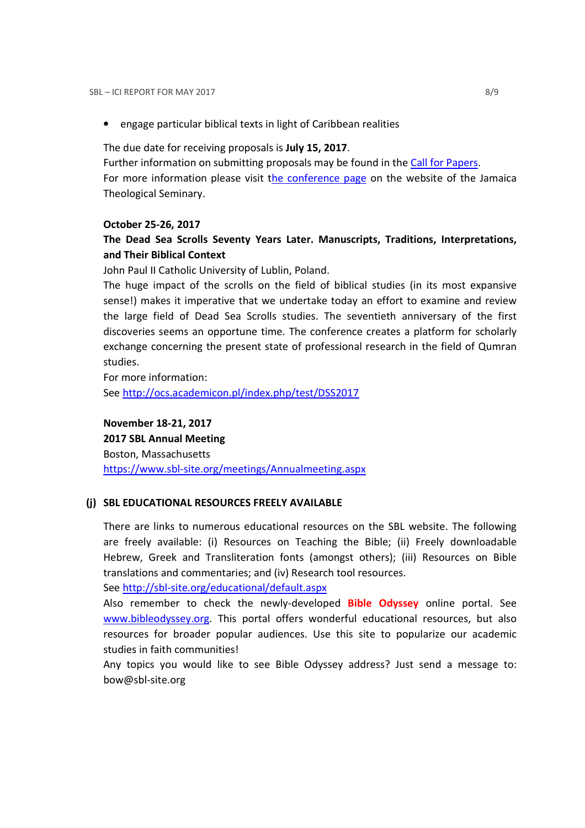• engage particular biblical texts in light of Caribbean realities

The due date for receiving proposals is July 15, 2017.

Further information on submitting proposals may be found in the Call for Papers. For more information please visit the conference page on the website of the Jamaica Theological Seminary.

### October 25-26, 2017

## The Dead Sea Scrolls Seventy Years Later. Manuscripts, Traditions, Interpretations, and Their Biblical Context

John Paul II Catholic University of Lublin, Poland.

The huge impact of the scrolls on the field of biblical studies (in its most expansive sense!) makes it imperative that we undertake today an effort to examine and review the large field of Dead Sea Scrolls studies. The seventieth anniversary of the first discoveries seems an opportune time. The conference creates a platform for scholarly exchange concerning the present state of professional research in the field of Qumran studies.

For more information: See http://ocs.academicon.pl/index.php/test/DSS2017

November 18-21, 2017

2017 SBL Annual Meeting Boston, Massachusetts https://www.sbl-site.org/meetings/Annualmeeting.aspx

### (j) SBL EDUCATIONAL RESOURCES FREELY AVAILABLE

There are links to numerous educational resources on the SBL website. The following are freely available: (i) Resources on Teaching the Bible; (ii) Freely downloadable Hebrew, Greek and Transliteration fonts (amongst others); (iii) Resources on Bible translations and commentaries; and (iv) Research tool resources.

See http://sbl-site.org/educational/default.aspx

Also remember to check the newly-developed **Bible Odyssey** online portal. See www.bibleodyssey.org. This portal offers wonderful educational resources, but also resources for broader popular audiences. Use this site to popularize our academic studies in faith communities!

Any topics you would like to see Bible Odyssey address? Just send a message to: bow@sbl-site.org